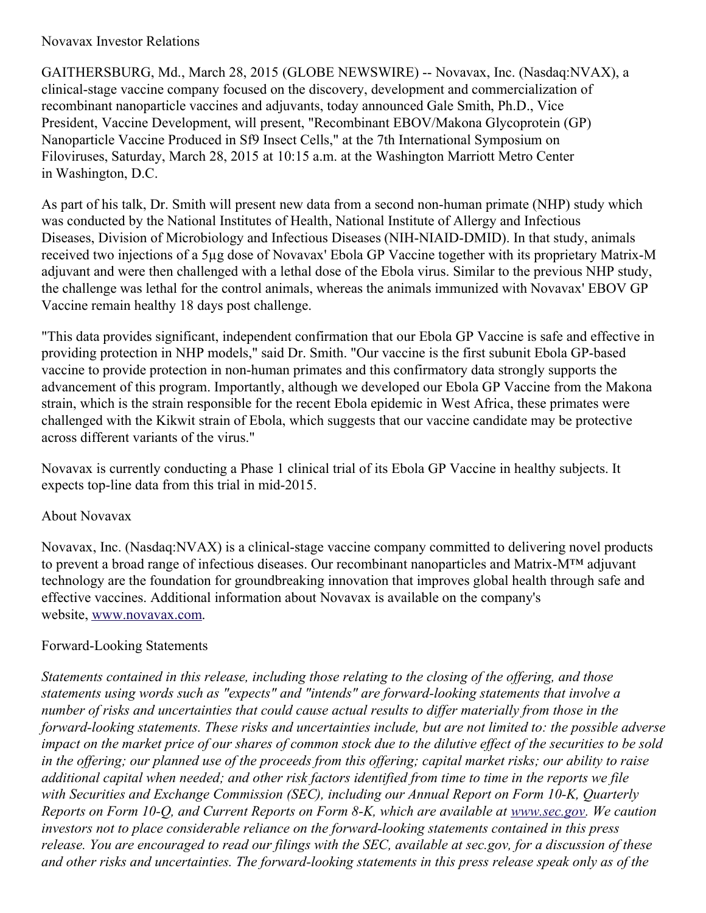## Novavax Investor Relations

GAITHERSBURG, Md., March 28, 2015 (GLOBE NEWSWIRE) -- Novavax, Inc. (Nasdaq:NVAX), a clinical-stage vaccine company focused on the discovery, development and commercialization of recombinant nanoparticle vaccines and adjuvants, today announced Gale Smith, Ph.D., Vice President, Vaccine Development, will present, "Recombinant EBOV/Makona Glycoprotein (GP) Nanoparticle Vaccine Produced in Sf9 Insect Cells," at the 7th International Symposium on Filoviruses, Saturday, March 28, 2015 at 10:15 a.m. at the Washington Marriott Metro Center in Washington, D.C.

As part of his talk, Dr. Smith will present new data from a second non-human primate (NHP) study which was conducted by the National Institutes of Health, National Institute of Allergy and Infectious Diseases, Division of Microbiology and Infectious Diseases (NIH-NIAID-DMID). In that study, animals received two injections of a 5µg dose of Novavax' Ebola GP Vaccine together with its proprietary Matrix-M adjuvant and were then challenged with a lethal dose of the Ebola virus. Similar to the previous NHP study, the challenge was lethal for the control animals, whereas the animals immunized with Novavax' EBOV GP Vaccine remain healthy 18 days post challenge.

"This data provides significant, independent confirmation that our Ebola GP Vaccine is safe and effective in providing protection in NHP models," said Dr. Smith. "Our vaccine is the first subunit Ebola GP-based vaccine to provide protection in non-human primates and this confirmatory data strongly supports the advancement of this program. Importantly, although we developed our Ebola GP Vaccine from the Makona strain, which is the strain responsible for the recent Ebola epidemic in West Africa, these primates were challenged with the Kikwit strain of Ebola, which suggests that our vaccine candidate may be protective across different variants of the virus."

Novavax is currently conducting a Phase 1 clinical trial of its Ebola GP Vaccine in healthy subjects. It expects top-line data from this trial in mid-2015.

## About Novavax

Novavax, Inc. (Nasdaq:NVAX) is a clinical-stage vaccine company committed to delivering novel products to prevent a broad range of infectious diseases. Our recombinant nanoparticles and Matrix-M™ adjuvant technology are the foundation for groundbreaking innovation that improves global health through safe and effective vaccines. Additional information about Novavax is available on the company's website, [www.novavax.com](http://www.globenewswire.com/newsroom/ctr?d=10126772&l=6&a=www.novavax.com&u=http%3A%2F%2Fwww.novavax.com%2F).

## Forward-Looking Statements

*Statements contained in this release, including those relating to the closing of the of ering, and those statements using words such as "expects" and "intends" are forward-looking statements that involve a* number of risks and uncertainties that could cause actual results to differ materially from those in the *forward-looking statements. These risks and uncertainties include, but are not limited to: the possible adverse* impact on the market price of our shares of common stock due to the dilutive effect of the securities to be sold in the offering; our planned use of the proceeds from this offering; capital market risks; our ability to raise additional capital when needed; and other risk factors identified from time to time in the reports we file *with Securities and Exchange Commission (SEC), including our Annual Report on Form 10-K, Quarterly* Reports on Form 10-Q, and Current Reports on Form 8-K, which are available at [www.sec.gov](http://www.sec.gov/). We caution *investors not to place considerable reliance on the forward-looking statements contained in this press* release. You are encouraged to read our filings with the SEC, available at sec.gov, for a discussion of these and other risks and uncertainties. The forward-looking statements in this press release speak only as of the